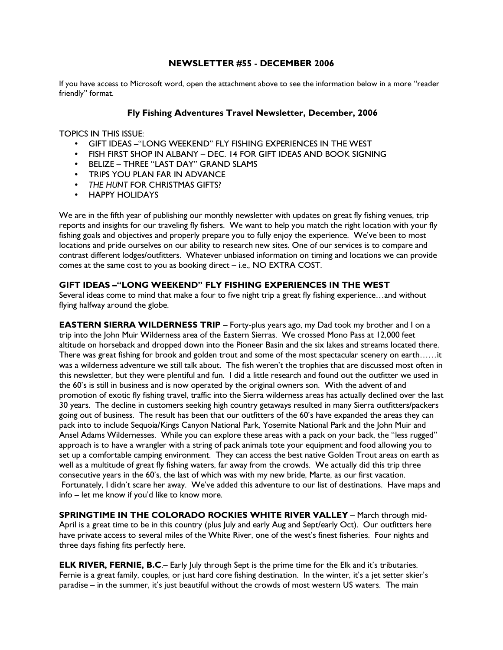## NEWSLETTER #55 - DECEMBER 2006

If you have access to Microsoft word, open the attachment above to see the information below in a more "reader friendly" format.

#### Fly Fishing Adventures Travel Newsletter, December, 2006

TOPICS IN THIS ISSUE:

- GIFT IDEAS –"LONG WEEKEND" FLY FISHING EXPERIENCES IN THE WEST
- FISH FIRST SHOP IN ALBANY DEC. 14 FOR GIFT IDEAS AND BOOK SIGNING
- BELIZE THREE "LAST DAY" GRAND SLAMS
- TRIPS YOU PLAN FAR IN ADVANCE
- THE HUNT FOR CHRISTMAS GIFTS?
- HAPPY HOLIDAYS

We are in the fifth year of publishing our monthly newsletter with updates on great fly fishing venues, trip reports and insights for our traveling fly fishers. We want to help you match the right location with your fly fishing goals and objectives and properly prepare you to fully enjoy the experience. We've been to most locations and pride ourselves on our ability to research new sites. One of our services is to compare and contrast different lodges/outfitters. Whatever unbiased information on timing and locations we can provide comes at the same cost to you as booking direct – i.e., NO EXTRA COST.

#### GIFT IDEAS –"LONG WEEKEND" FLY FISHING EXPERIENCES IN THE WEST

Several ideas come to mind that make a four to five night trip a great fly fishing experience...and without flying halfway around the globe.

EASTERN SIERRA WILDERNESS TRIP - Forty-plus years ago, my Dad took my brother and I on a trip into the John Muir Wilderness area of the Eastern Sierras. We crossed Mono Pass at 12,000 feet altitude on horseback and dropped down into the Pioneer Basin and the six lakes and streams located there. There was great fishing for brook and golden trout and some of the most spectacular scenery on earth……it was a wilderness adventure we still talk about. The fish weren't the trophies that are discussed most often in this newsletter, but they were plentiful and fun. I did a little research and found out the outfitter we used in the 60's is still in business and is now operated by the original owners son. With the advent of and promotion of exotic fly fishing travel, traffic into the Sierra wilderness areas has actually declined over the last 30 years. The decline in customers seeking high country getaways resulted in many Sierra outfitters/packers going out of business. The result has been that our outfitters of the 60's have expanded the areas they can pack into to include Sequoia/Kings Canyon National Park, Yosemite National Park and the John Muir and Ansel Adams Wildernesses. While you can explore these areas with a pack on your back, the "less rugged" approach is to have a wrangler with a string of pack animals tote your equipment and food allowing you to set up a comfortable camping environment. They can access the best native Golden Trout areas on earth as well as a multitude of great fly fishing waters, far away from the crowds. We actually did this trip three consecutive years in the 60's, the last of which was with my new bride, Marte, as our first vacation. Fortunately, I didn't scare her away. We've added this adventure to our list of destinations. Have maps and info – let me know if you'd like to know more.

SPRINGTIME IN THE COLORADO ROCKIES WHITE RIVER VALLEY - March through mid-April is a great time to be in this country (plus July and early Aug and Sept/early Oct). Our outfitters here have private access to several miles of the White River, one of the west's finest fisheries. Four nights and three days fishing fits perfectly here.

**ELK RIVER, FERNIE, B.C.**– Early July through Sept is the prime time for the Elk and it's tributaries. Fernie is a great family, couples, or just hard core fishing destination. In the winter, it's a jet setter skier's paradise – in the summer, it's just beautiful without the crowds of most western US waters. The main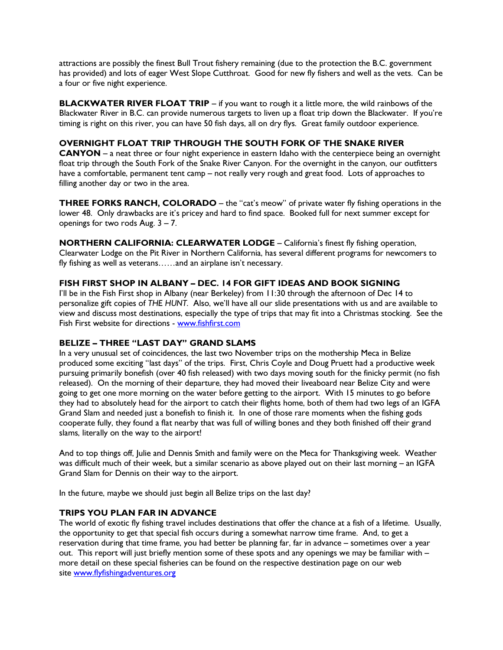attractions are possibly the finest Bull Trout fishery remaining (due to the protection the B.C. government has provided) and lots of eager West Slope Cutthroat. Good for new fly fishers and well as the vets. Can be a four or five night experience.

**BLACKWATER RIVER FLOAT TRIP** – if you want to rough it a little more, the wild rainbows of the Blackwater River in B.C. can provide numerous targets to liven up a float trip down the Blackwater. If you're timing is right on this river, you can have 50 fish days, all on dry flys. Great family outdoor experience.

## OVERNIGHT FLOAT TRIP THROUGH THE SOUTH FORK OF THE SNAKE RIVER

CANYON – a neat three or four night experience in eastern Idaho with the centerpiece being an overnight float trip through the South Fork of the Snake River Canyon. For the overnight in the canyon, our outfitters have a comfortable, permanent tent camp – not really very rough and great food. Lots of approaches to filling another day or two in the area.

THREE FORKS RANCH, COLORADO – the "cat's meow" of private water fly fishing operations in the lower 48. Only drawbacks are it's pricey and hard to find space. Booked full for next summer except for openings for two rods Aug. 3 – 7.

NORTHERN CALIFORNIA: CLEARWATER LODGE – California's finest fly fishing operation, Clearwater Lodge on the Pit River in Northern California, has several different programs for newcomers to fly fishing as well as veterans……and an airplane isn't necessary.

## FISH FIRST SHOP IN ALBANY – DEC. 14 FOR GIFT IDEAS AND BOOK SIGNING

I'll be in the Fish First shop in Albany (near Berkeley) from 11:30 through the afternoon of Dec 14 to personalize gift copies of THE HUNT. Also, we'll have all our slide presentations with us and are available to view and discuss most destinations, especially the type of trips that may fit into a Christmas stocking. See the Fish First website for directions - www.fishfirst.com

## BELIZE – THREE "LAST DAY" GRAND SLAMS

In a very unusual set of coincidences, the last two November trips on the mothership Meca in Belize produced some exciting "last days" of the trips. First, Chris Coyle and Doug Pruett had a productive week pursuing primarily bonefish (over 40 fish released) with two days moving south for the finicky permit (no fish released). On the morning of their departure, they had moved their liveaboard near Belize City and were going to get one more morning on the water before getting to the airport. With 15 minutes to go before they had to absolutely head for the airport to catch their flights home, both of them had two legs of an IGFA Grand Slam and needed just a bonefish to finish it. In one of those rare moments when the fishing gods cooperate fully, they found a flat nearby that was full of willing bones and they both finished off their grand slams, literally on the way to the airport!

And to top things off, Julie and Dennis Smith and family were on the Meca for Thanksgiving week. Weather was difficult much of their week, but a similar scenario as above played out on their last morning – an IGFA Grand Slam for Dennis on their way to the airport.

In the future, maybe we should just begin all Belize trips on the last day?

## TRIPS YOU PLAN FAR IN ADVANCE

The world of exotic fly fishing travel includes destinations that offer the chance at a fish of a lifetime. Usually, the opportunity to get that special fish occurs during a somewhat narrow time frame. And, to get a reservation during that time frame, you had better be planning far, far in advance – sometimes over a year out. This report will just briefly mention some of these spots and any openings we may be familiar with – more detail on these special fisheries can be found on the respective destination page on our web site www.flyfishingadventures.org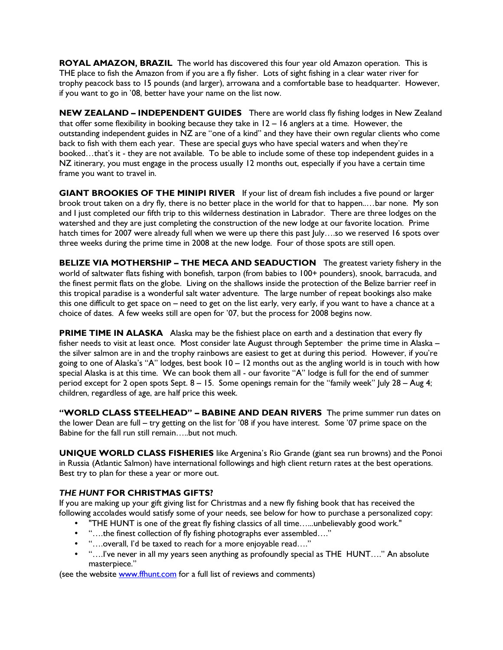ROYAL AMAZON, BRAZIL The world has discovered this four year old Amazon operation. This is THE place to fish the Amazon from if you are a fly fisher. Lots of sight fishing in a clear water river for trophy peacock bass to 15 pounds (and larger), arrowana and a comfortable base to headquarter. However, if you want to go in '08, better have your name on the list now.

NEW ZEALAND - INDEPENDENT GUIDES There are world class fly fishing lodges in New Zealand that offer some flexibility in booking because they take in  $12 - 16$  anglers at a time. However, the outstanding independent guides in NZ are "one of a kind" and they have their own regular clients who come back to fish with them each year. These are special guys who have special waters and when they're booked…that's it - they are not available. To be able to include some of these top independent guides in a NZ itinerary, you must engage in the process usually 12 months out, especially if you have a certain time frame you want to travel in.

GIANT BROOKIES OF THE MINIPI RIVER If your list of dream fish includes a five pound or larger brook trout taken on a dry fly, there is no better place in the world for that to happen..…bar none. My son and I just completed our fifth trip to this wilderness destination in Labrador. There are three lodges on the watershed and they are just completing the construction of the new lodge at our favorite location. Prime hatch times for 2007 were already full when we were up there this past July....so we reserved 16 spots over three weeks during the prime time in 2008 at the new lodge. Four of those spots are still open.

BELIZE VIA MOTHERSHIP – THE MECA AND SEADUCTION The greatest variety fishery in the world of saltwater flats fishing with bonefish, tarpon (from babies to 100+ pounders), snook, barracuda, and the finest permit flats on the globe. Living on the shallows inside the protection of the Belize barrier reef in this tropical paradise is a wonderful salt water adventure. The large number of repeat bookings also make this one difficult to get space on – need to get on the list early, very early, if you want to have a chance at a choice of dates. A few weeks still are open for '07, but the process for 2008 begins now.

PRIME TIME IN ALASKA Alaska may be the fishiest place on earth and a destination that every fly fisher needs to visit at least once. Most consider late August through September the prime time in Alaska – the silver salmon are in and the trophy rainbows are easiest to get at during this period. However, if you're going to one of Alaska's "A" lodges, best book 10 – 12 months out as the angling world is in touch with how special Alaska is at this time. We can book them all - our favorite "A" lodge is full for the end of summer period except for 2 open spots Sept. 8 – 15. Some openings remain for the "family week" July 28 – Aug 4; children, regardless of age, are half price this week.

"WORLD CLASS STEELHEAD" - BABINE AND DEAN RIVERS The prime summer run dates on the lower Dean are full – try getting on the list for '08 if you have interest. Some '07 prime space on the Babine for the fall run still remain…..but not much.

UNIQUE WORLD CLASS FISHERIES like Argenina's Rio Grande (giant sea run browns) and the Ponoi in Russia (Atlantic Salmon) have international followings and high client return rates at the best operations. Best try to plan for these a year or more out.

# THE HUNT FOR CHRISTMAS GIFTS?

If you are making up your gift giving list for Christmas and a new fly fishing book that has received the following accolades would satisfy some of your needs, see below for how to purchase a personalized copy:

- "THE HUNT is one of the great fly fishing classics of all time…...unbelievably good work."
- "….the finest collection of fly fishing photographs ever assembled…."
- "….overall, I'd be taxed to reach for a more enjoyable read…."
- "….I've never in all my years seen anything as profoundly special as THE HUNT…." An absolute masterpiece."

(see the website www.ffhunt.com for a full list of reviews and comments)